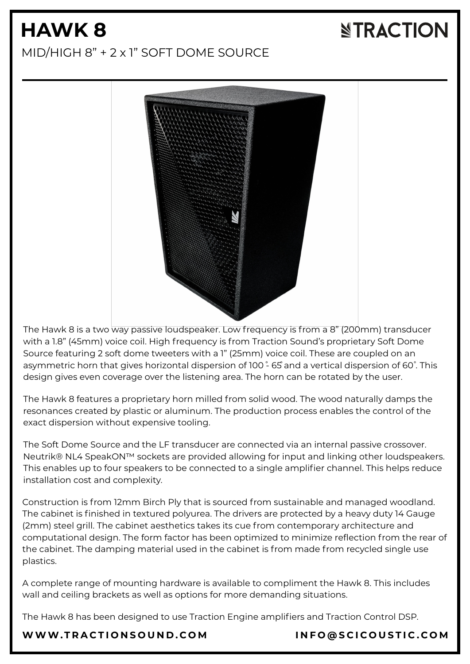# **HAWK 8**

# **NTRACTION**

#### MID/HIGH 8" + 2 x 1" SOFT DOME SOURCE



The Hawk 8 is a two way passive loudspeaker. Low frequency is from a 8" (200mm) transducer with a 1.8" (45mm) voice coil. High frequency is from Traction Sound's proprietary Soft Dome Source featuring 2 soft dome tweeters with a 1" (25mm) voice coil. These are coupled on an asymmetric horn that gives horizontal dispersion of 100  $\degree$  65 and a vertical dispersion of 60°. This design gives even coverage over the listening area. The horn can be rotated by the user.

The Hawk 8 features a proprietary horn milled from solid wood. The wood naturally damps the resonances created by plastic or aluminum. The production process enables the control of the exact dispersion without expensive tooling.

The Soft Dome Source and the LF transducer are connected via an internal passive crossover. Neutrik® NL4 SpeakON™ sockets are provided allowing for input and linking other loudspeakers. This enables up to four speakers to be connected to a single amplifier channel. This helps reduce installation cost and complexity.

Construction is from 12mm Birch Ply that is sourced from sustainable and managed woodland. The cabinet is finished in textured polyurea. The drivers are protected by a heavy duty 14 Gauge (2mm) steel grill. The cabinet aesthetics takes its cue from contemporary architecture and computational design. The form factor has been optimized to minimize reflection from the rear of the cabinet. The damping material used in the cabinet is from made from recycled single use plastics.

A complete range of mounting hardware is available to compliment the Hawk 8. This includes wall and ceiling brackets as well as options for more demanding situations.

The Hawk 8 has been designed to use Traction Engine amplifiers and Traction Control DSP.

#### [WWW.T](https://www.tractionsound.com/)RACTIONSOUND.COM INFO[@](mailto:info@scicoustic.com)SCICOUSTIC.COM